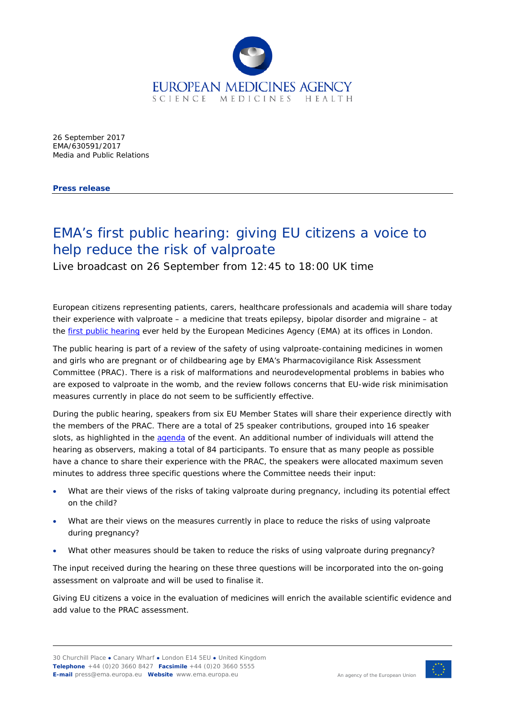

26 September 2017 EMA/630591/2017 Media and Public Relations

**Press release**

## EMA's first public hearing: giving EU citizens a voice to help reduce the risk of valproate

Live broadcast on 26 September from 12:45 to 18:00 UK time

European citizens representing patients, carers, healthcare professionals and academia will share today their experience with valproate – a medicine that treats epilepsy, bipolar disorder and migraine – at the [first public hearing](http://www.ema.europa.eu/ema/index.jsp?curl=pages/news_and_events/news/2017/07/news_detail_002774.jsp&mid=WC0b01ac058004d5c1) ever held by the European Medicines Agency (EMA) at its offices in London.

The public hearing is part of a [review of the safety of using valproate-containing medicines in women](http://www.ema.europa.eu/ema/index.jsp?curl=pages/medicines/human/referrals/Valproate_and_related_substances/human_referral_prac_000066.jsp&mid=WC0b01ac05805c516f)  [and girls who are pregnant or of childbearing age by EMA's](http://www.ema.europa.eu/ema/index.jsp?curl=pages/medicines/human/referrals/Valproate_and_related_substances/human_referral_prac_000066.jsp&mid=WC0b01ac05805c516f) Pharmacovigilance Risk Assessment [Committee](http://www.ema.europa.eu/ema/index.jsp?curl=pages/medicines/human/referrals/Valproate_and_related_substances/human_referral_prac_000066.jsp&mid=WC0b01ac05805c516f) (PRAC). There is a risk of malformations and neurodevelopmental problems in babies who are exposed to valproate in the womb, and the review follows concerns that EU-wide risk minimisation measures currently in place do not seem to be sufficiently effective.

During the public hearing, speakers from six EU Member States will share their experience directly with the members of the PRAC. There are a total of 25 speaker contributions, grouped into 16 speaker slots, as highlighted in the [agenda](http://www.ema.europa.eu/docs/en_GB/document_library/Agenda/2017/09/WC500235369.pdf) of the event. An additional number of individuals will attend the hearing as observers, making a total of 84 participants. To ensure that as many people as possible have a chance to share their experience with the PRAC, the speakers were allocated maximum seven minutes to address three specific questions where the Committee needs their input:

- What are their views of the risks of taking valproate during pregnancy, including its potential effect on the child?
- What are their views on the measures currently in place to reduce the risks of using valproate during pregnancy?
- What other measures should be taken to reduce the risks of using valproate during pregnancy?

The input received during the hearing on these three questions will be incorporated into the on-going assessment on valproate and will be used to finalise it.

Giving EU citizens a voice in the evaluation of medicines will enrich the available scientific evidence and add value to the PRAC assessment.